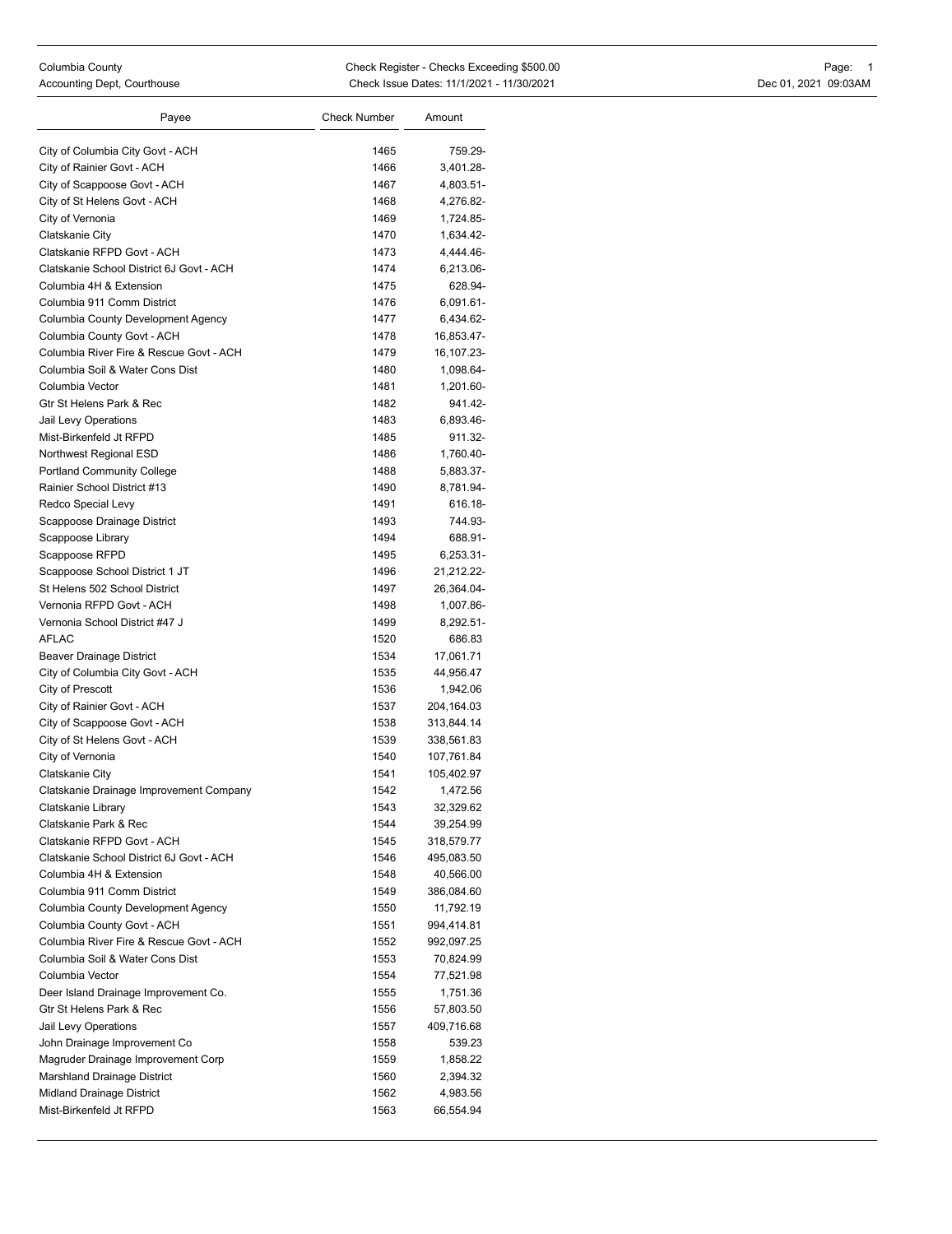| Payee                                    | <b>Check Number</b> | Amount       |
|------------------------------------------|---------------------|--------------|
| City of Columbia City Govt - ACH         | 1465                | 759.29-      |
| City of Rainier Govt - ACH               | 1466                | 3,401.28-    |
| City of Scappoose Govt - ACH             | 1467                | 4,803.51-    |
| City of St Helens Govt - ACH             | 1468                | 4,276.82-    |
| City of Vernonia                         | 1469                | 1,724.85-    |
| Clatskanie City                          | 1470                | 1,634.42-    |
| Clatskanie RFPD Govt - ACH               | 1473                | 4,444.46-    |
| Clatskanie School District 6J Govt - ACH | 1474                | 6,213.06-    |
| Columbia 4H & Extension                  | 1475                | 628.94-      |
| Columbia 911 Comm District               | 1476                | 6,091.61-    |
| Columbia County Development Agency       | 1477                | 6,434.62-    |
| Columbia County Govt - ACH               | 1478                | 16,853.47-   |
| Columbia River Fire & Rescue Govt - ACH  | 1479                | 16, 107. 23- |
| Columbia Soil & Water Cons Dist          | 1480                | 1,098.64-    |
| Columbia Vector                          | 1481                | 1,201.60-    |
| Gtr St Helens Park & Rec                 | 1482                | 941.42-      |
| Jail Levy Operations                     | 1483                | 6,893.46-    |
| Mist-Birkenfeld Jt RFPD                  | 1485                | 911.32-      |
| Northwest Regional ESD                   | 1486                | 1,760.40-    |
| <b>Portland Community College</b>        | 1488                | 5,883.37-    |
| Rainier School District #13              | 1490                | 8,781.94-    |
| Redco Special Levy                       | 1491                | 616.18-      |
| Scappoose Drainage District              | 1493                | 744.93-      |
| Scappoose Library                        | 1494                | 688.91-      |
| Scappoose RFPD                           | 1495                | 6,253.31-    |
| Scappoose School District 1 JT           | 1496                | 21,212.22-   |
| St Helens 502 School District            | 1497                | 26,364.04-   |
| Vernonia RFPD Govt - ACH                 | 1498                | 1,007.86-    |
| Vernonia School District #47 J           | 1499                | 8,292.51-    |
| <b>AFLAC</b>                             | 1520                | 686.83       |
| Beaver Drainage District                 | 1534                | 17,061.71    |
| City of Columbia City Govt - ACH         | 1535                | 44,956.47    |
| City of Prescott                         | 1536                | 1,942.06     |
| City of Rainier Govt - ACH               | 1537                | 204,164.03   |
| City of Scappoose Govt - ACH             | 1538                | 313,844.14   |
| City of St Helens Govt - ACH             | 1539                | 338,561.83   |
| City of Vernonia                         | 1540                | 107,761.84   |
| Clatskanie City                          | 1541                | 105,402.97   |
| Clatskanie Drainage Improvement Company  | 1542                | 1,472.56     |
| Clatskanie Library                       | 1543                | 32,329.62    |
| Clatskanie Park & Rec                    | 1544                | 39,254.99    |
| Clatskanie RFPD Govt - ACH               | 1545                | 318,579.77   |
| Clatskanie School District 6J Govt - ACH | 1546                | 495,083.50   |
| Columbia 4H & Extension                  | 1548                | 40,566.00    |
| Columbia 911 Comm District               | 1549                | 386,084.60   |
| Columbia County Development Agency       | 1550                | 11,792.19    |
| Columbia County Govt - ACH               | 1551                | 994,414.81   |
| Columbia River Fire & Rescue Govt - ACH  | 1552                | 992,097.25   |
| Columbia Soil & Water Cons Dist          | 1553                | 70,824.99    |
| Columbia Vector                          | 1554                | 77,521.98    |
| Deer Island Drainage Improvement Co.     | 1555                | 1,751.36     |
| Gtr St Helens Park & Rec                 | 1556                | 57,803.50    |
| Jail Levy Operations                     | 1557                | 409,716.68   |
| John Drainage Improvement Co             | 1558                | 539.23       |
| Magruder Drainage Improvement Corp       | 1559                | 1,858.22     |
| Marshland Drainage District              | 1560                | 2,394.32     |
| Midland Drainage District                | 1562                | 4,983.56     |
| Mist-Birkenfeld Jt RFPD                  | 1563                | 66,554.94    |
|                                          |                     |              |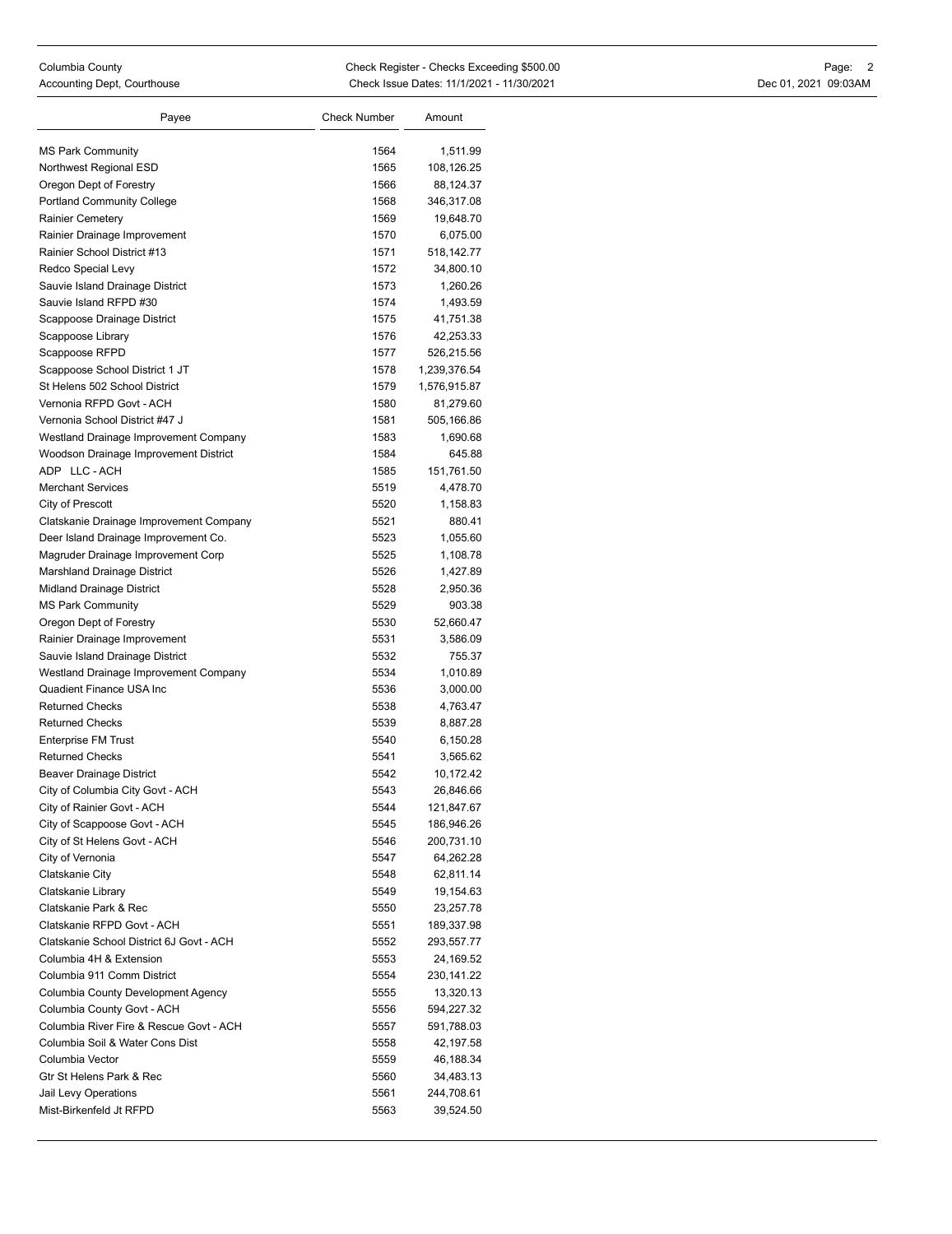| Payee                                    | <b>Check Number</b> | Amount       |
|------------------------------------------|---------------------|--------------|
| <b>MS Park Community</b>                 | 1564                | 1,511.99     |
| Northwest Regional ESD                   | 1565                | 108,126.25   |
| Oregon Dept of Forestry                  | 1566                | 88,124.37    |
| <b>Portland Community College</b>        | 1568                | 346,317.08   |
| <b>Rainier Cemetery</b>                  | 1569                | 19,648.70    |
| Rainier Drainage Improvement             | 1570                | 6,075.00     |
| Rainier School District #13              | 1571                | 518,142.77   |
| Redco Special Levy                       | 1572                | 34,800.10    |
| Sauvie Island Drainage District          | 1573                | 1,260.26     |
| Sauvie Island RFPD #30                   | 1574                | 1,493.59     |
| Scappoose Drainage District              | 1575                | 41,751.38    |
| Scappoose Library                        | 1576                | 42,253.33    |
| Scappoose RFPD                           | 1577                | 526,215.56   |
| Scappoose School District 1 JT           | 1578                | 1,239,376.54 |
| St Helens 502 School District            | 1579                | 1,576,915.87 |
| Vernonia RFPD Govt - ACH                 | 1580                | 81,279.60    |
| Vernonia School District #47 J           | 1581                | 505,166.86   |
| Westland Drainage Improvement Company    | 1583                | 1,690.68     |
| Woodson Drainage Improvement District    | 1584                | 645.88       |
| ADP LLC-ACH                              | 1585                | 151,761.50   |
| <b>Merchant Services</b>                 | 5519                | 4,478.70     |
| City of Prescott                         | 5520                | 1,158.83     |
| Clatskanie Drainage Improvement Company  | 5521                | 880.41       |
| Deer Island Drainage Improvement Co.     | 5523                | 1,055.60     |
| Magruder Drainage Improvement Corp       | 5525                | 1,108.78     |
| Marshland Drainage District              | 5526                | 1,427.89     |
| Midland Drainage District                | 5528                | 2,950.36     |
| <b>MS Park Community</b>                 | 5529                | 903.38       |
| Oregon Dept of Forestry                  | 5530                | 52,660.47    |
| Rainier Drainage Improvement             | 5531                | 3,586.09     |
| Sauvie Island Drainage District          | 5532                | 755.37       |
| Westland Drainage Improvement Company    | 5534                | 1,010.89     |
| <b>Quadient Finance USA Inc</b>          | 5536                | 3,000.00     |
| <b>Returned Checks</b>                   | 5538                | 4,763.47     |
| <b>Returned Checks</b>                   | 5539                | 8,887.28     |
| <b>Enterprise FM Trust</b>               | 5540                | 6,150.28     |
| <b>Returned Checks</b>                   | 5541                | 3,565.62     |
| Beaver Drainage District                 | 5542                | 10,172.42    |
| City of Columbia City Govt - ACH         | 5543                | 26,846.66    |
| City of Rainier Govt - ACH               | 5544                | 121,847.67   |
| City of Scappoose Govt - ACH             | 5545                | 186,946.26   |
| City of St Helens Govt - ACH             | 5546                | 200,731.10   |
| City of Vernonia                         | 5547                | 64,262.28    |
| Clatskanie City                          | 5548                | 62,811.14    |
| Clatskanie Library                       | 5549                | 19,154.63    |
| Clatskanie Park & Rec                    | 5550                | 23,257.78    |
| Clatskanie RFPD Govt - ACH               | 5551                | 189,337.98   |
| Clatskanie School District 6J Govt - ACH | 5552                | 293,557.77   |
| Columbia 4H & Extension                  | 5553                | 24,169.52    |
| Columbia 911 Comm District               | 5554                | 230,141.22   |
| Columbia County Development Agency       | 5555                | 13,320.13    |
| Columbia County Govt - ACH               | 5556                | 594,227.32   |
| Columbia River Fire & Rescue Govt - ACH  | 5557                | 591,788.03   |
| Columbia Soil & Water Cons Dist          | 5558                | 42,197.58    |
| Columbia Vector                          | 5559                | 46,188.34    |
| Gtr St Helens Park & Rec                 | 5560                | 34,483.13    |
| Jail Levy Operations                     | 5561                | 244,708.61   |
| Mist-Birkenfeld Jt RFPD                  | 5563                | 39,524.50    |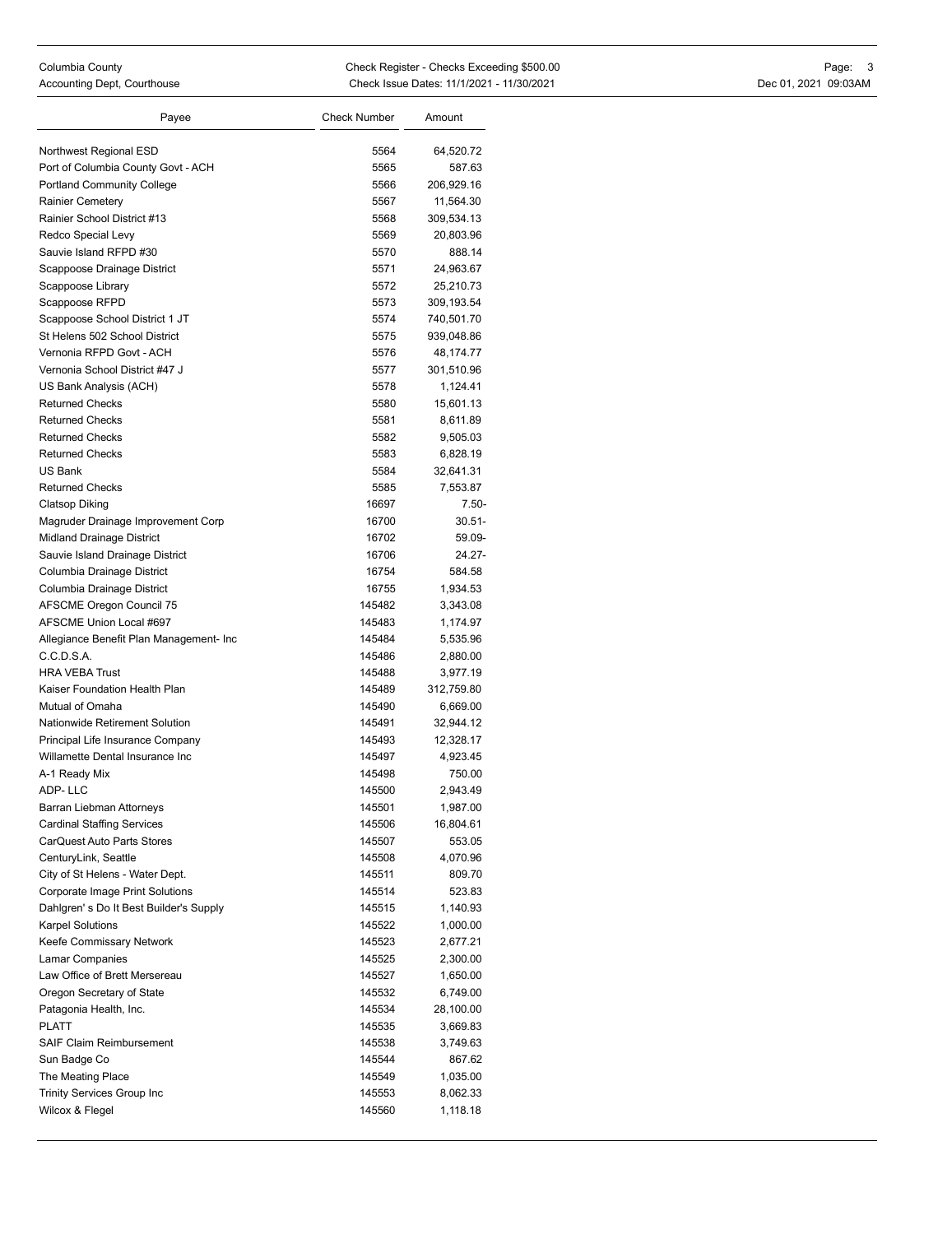| Payee                                   | Check Number | Amount     |
|-----------------------------------------|--------------|------------|
|                                         | 5564         |            |
| Northwest Regional ESD                  |              | 64,520.72  |
| Port of Columbia County Govt - ACH      | 5565         | 587.63     |
| <b>Portland Community College</b>       | 5566         | 206,929.16 |
| <b>Rainier Cemetery</b>                 | 5567         | 11,564.30  |
| Rainier School District #13             | 5568         | 309,534.13 |
| Redco Special Levy                      | 5569         | 20,803.96  |
| Sauvie Island RFPD #30                  | 5570         | 888.14     |
| Scappoose Drainage District             | 5571         | 24,963.67  |
| Scappoose Library                       | 5572         | 25.210.73  |
| Scappoose RFPD                          | 5573         | 309,193.54 |
| Scappoose School District 1 JT          | 5574         | 740,501.70 |
| St Helens 502 School District           | 5575         | 939,048.86 |
| Vernonia RFPD Govt - ACH                | 5576         | 48,174.77  |
| Vernonia School District #47 J          | 5577         | 301,510.96 |
| US Bank Analysis (ACH)                  | 5578         | 1,124.41   |
| <b>Returned Checks</b>                  | 5580         | 15,601.13  |
| <b>Returned Checks</b>                  | 5581         | 8,611.89   |
| <b>Returned Checks</b>                  | 5582         | 9,505.03   |
| <b>Returned Checks</b>                  | 5583         | 6,828.19   |
| US Bank                                 | 5584         | 32,641.31  |
| <b>Returned Checks</b>                  | 5585         | 7,553.87   |
| <b>Clatsop Diking</b>                   | 16697        | 7.50-      |
| Magruder Drainage Improvement Corp      | 16700        | $30.51 -$  |
| Midland Drainage District               | 16702        | 59.09-     |
| Sauvie Island Drainage District         | 16706        | 24.27-     |
| Columbia Drainage District              | 16754        | 584.58     |
| Columbia Drainage District              | 16755        | 1,934.53   |
| <b>AFSCME Oregon Council 75</b>         | 145482       | 3,343.08   |
| AFSCME Union Local #697                 | 145483       | 1,174.97   |
| Allegiance Benefit Plan Management- Inc | 145484       | 5,535.96   |
| C.C.D.S.A.                              | 145486       | 2,880.00   |
| <b>HRA VEBA Trust</b>                   | 145488       | 3,977.19   |
| Kaiser Foundation Health Plan           | 145489       | 312,759.80 |
| Mutual of Omaha                         | 145490       | 6,669.00   |
| Nationwide Retirement Solution          | 145491       | 32,944.12  |
| Principal Life Insurance Company        | 145493       | 12,328.17  |
| Willamette Dental Insurance Inc         | 145497       | 4,923.45   |
| A-1 Ready Mix                           | 145498       | 750.00     |
| ADP-LLC                                 | 145500       | 2,943.49   |
| Barran Liebman Attorneys                | 145501       | 1,987.00   |
| <b>Cardinal Staffing Services</b>       | 145506       | 16,804.61  |
| CarQuest Auto Parts Stores              | 145507       | 553.05     |
| CenturyLink, Seattle                    | 145508       | 4,070.96   |
| City of St Helens - Water Dept.         | 145511       | 809.70     |
| Corporate Image Print Solutions         | 145514       | 523.83     |
| Dahlgren's Do It Best Builder's Supply  | 145515       | 1,140.93   |
| <b>Karpel Solutions</b>                 | 145522       |            |
|                                         |              | 1,000.00   |
| Keefe Commissary Network                | 145523       | 2,677.21   |
| Lamar Companies                         | 145525       | 2,300.00   |
| Law Office of Brett Mersereau           | 145527       | 1,650.00   |
| Oregon Secretary of State               | 145532       | 6,749.00   |
| Patagonia Health, Inc.                  | 145534       | 28,100.00  |
| PLATT                                   | 145535       | 3,669.83   |
| <b>SAIF Claim Reimbursement</b>         | 145538       | 3,749.63   |
| Sun Badge Co                            | 145544       | 867.62     |
| The Meating Place                       | 145549       | 1,035.00   |
| <b>Trinity Services Group Inc</b>       | 145553       | 8,062.33   |
| Wilcox & Flegel                         | 145560       | 1,118.18   |
|                                         |              |            |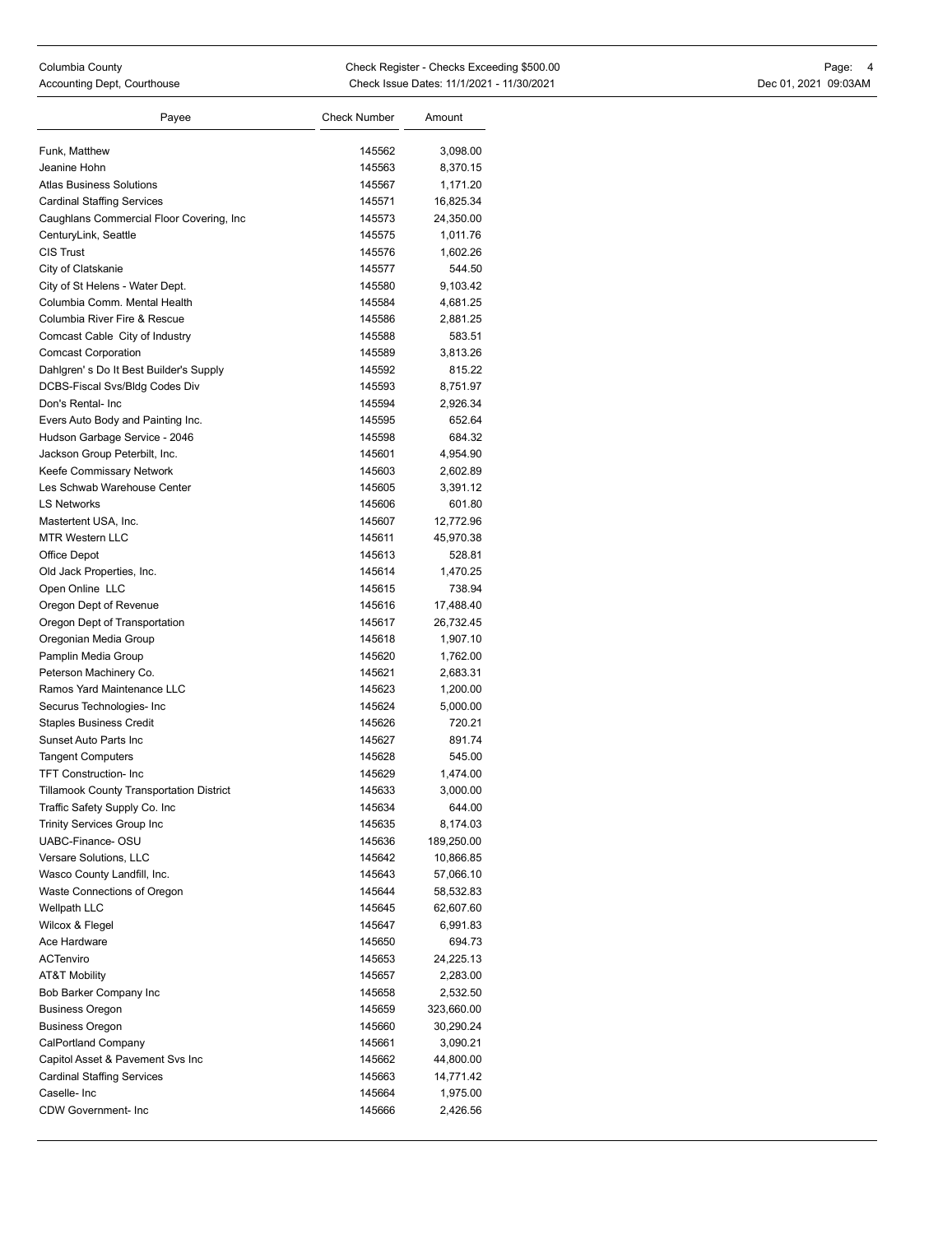| Payee                                     | <b>Check Number</b> | Amount     |
|-------------------------------------------|---------------------|------------|
| Funk, Matthew                             | 145562              | 3,098.00   |
| Jeanine Hohn                              | 145563              | 8,370.15   |
| <b>Atlas Business Solutions</b>           | 145567              | 1,171.20   |
| <b>Cardinal Staffing Services</b>         | 145571              | 16,825.34  |
| Caughlans Commercial Floor Covering, Inc. | 145573              | 24,350.00  |
| CenturyLink, Seattle                      | 145575              | 1,011.76   |
| <b>CIS Trust</b>                          | 145576              | 1,602.26   |
| City of Clatskanie                        | 145577              | 544.50     |
| City of St Helens - Water Dept.           | 145580              | 9,103.42   |
| Columbia Comm. Mental Health              | 145584              | 4,681.25   |
| Columbia River Fire & Rescue              | 145586              | 2,881.25   |
| Comcast Cable City of Industry            | 145588              | 583.51     |
| <b>Comcast Corporation</b>                | 145589              | 3,813.26   |
| Dahlgren's Do It Best Builder's Supply    | 145592              | 815.22     |
| DCBS-Fiscal Svs/Bldg Codes Div            | 145593              | 8,751.97   |
| Don's Rental- Inc                         | 145594              | 2,926.34   |
| Evers Auto Body and Painting Inc.         | 145595              | 652.64     |
| Hudson Garbage Service - 2046             | 145598              | 684.32     |
| Jackson Group Peterbilt, Inc.             | 145601              | 4,954.90   |
| Keefe Commissary Network                  | 145603              | 2,602.89   |
| Les Schwab Warehouse Center               | 145605              | 3,391.12   |
| <b>LS Networks</b>                        | 145606              | 601.80     |
| Mastertent USA, Inc.                      | 145607              | 12,772.96  |
| <b>MTR Western LLC</b>                    | 145611              | 45,970.38  |
| Office Depot                              | 145613              | 528.81     |
| Old Jack Properties, Inc.                 | 145614              | 1,470.25   |
| Open Online LLC                           | 145615              | 738.94     |
| Oregon Dept of Revenue                    | 145616              | 17,488.40  |
| Oregon Dept of Transportation             | 145617              | 26,732.45  |
| Oregonian Media Group                     | 145618              | 1,907.10   |
| Pamplin Media Group                       | 145620              | 1,762.00   |
| Peterson Machinery Co.                    | 145621              | 2,683.31   |
| Ramos Yard Maintenance LLC                | 145623              | 1,200.00   |
| Securus Technologies- Inc                 | 145624              | 5,000.00   |
| <b>Staples Business Credit</b>            | 145626              | 720.21     |
| Sunset Auto Parts Inc                     | 145627              | 891.74     |
| <b>Tangent Computers</b>                  | 145628              | 545.00     |
| <b>TFT Construction-Inc</b>               | 145629              | 1,474.00   |
| Tillamook County Transportation District  | 145633              | 3,000.00   |
| Traffic Safety Supply Co. Inc             | 145634              | 644.00     |
| <b>Trinity Services Group Inc</b>         | 145635              | 8,174.03   |
| UABC-Finance-OSU                          | 145636              | 189,250.00 |
| Versare Solutions, LLC                    | 145642              | 10,866.85  |
| Wasco County Landfill, Inc.               | 145643              | 57,066.10  |
| Waste Connections of Oregon               | 145644              | 58,532.83  |
| Wellpath LLC                              | 145645              | 62,607.60  |
| Wilcox & Flegel                           | 145647              | 6,991.83   |
| Ace Hardware                              | 145650              | 694.73     |
| ACTenviro                                 | 145653              | 24,225.13  |
| <b>AT&amp;T Mobility</b>                  | 145657              | 2,283.00   |
| Bob Barker Company Inc                    | 145658              | 2,532.50   |
| <b>Business Oregon</b>                    | 145659              | 323,660.00 |
| <b>Business Oregon</b>                    | 145660              | 30,290.24  |
| <b>CalPortland Company</b>                | 145661              | 3,090.21   |
| Capitol Asset & Pavement Svs Inc          | 145662              | 44,800.00  |
| <b>Cardinal Staffing Services</b>         | 145663              | 14,771.42  |
| Caselle- Inc                              | 145664              | 1,975.00   |
| <b>CDW Government-Inc</b>                 | 145666              | 2,426.56   |
|                                           |                     |            |